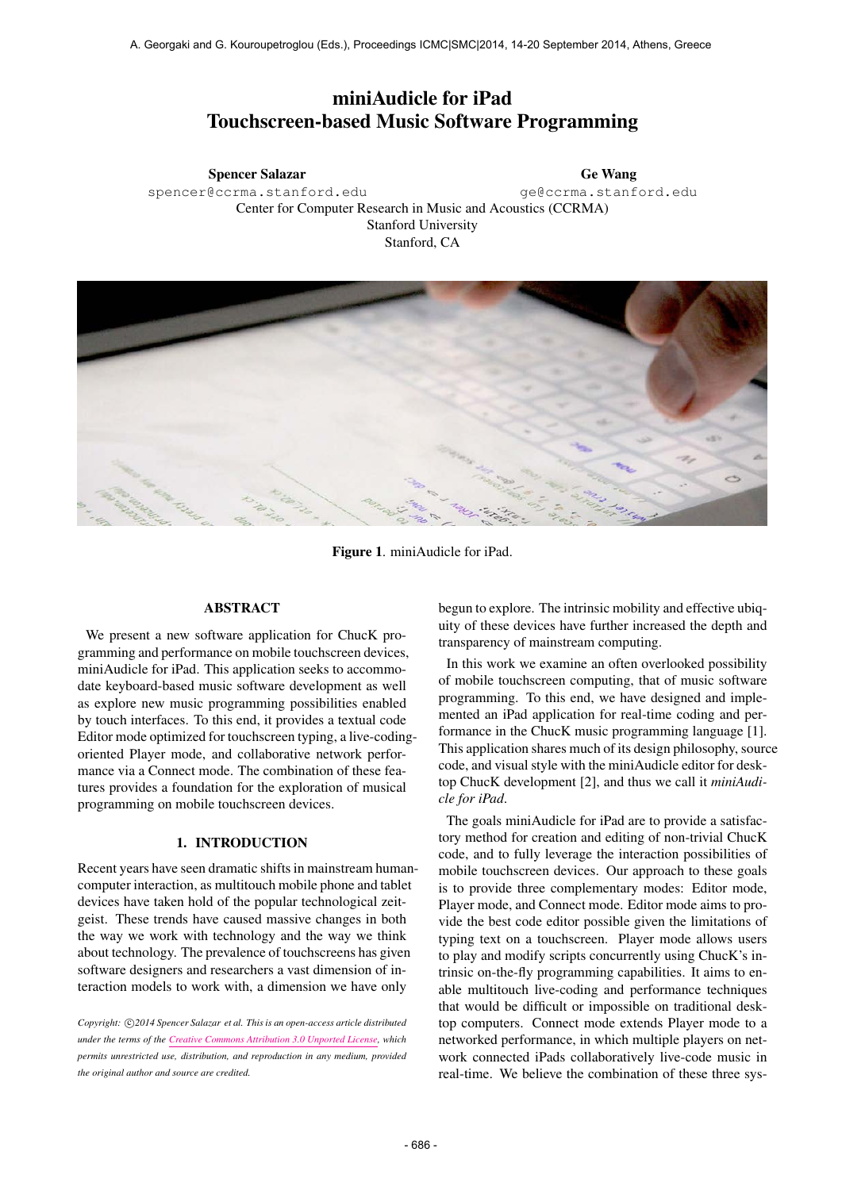# miniAudicle for iPad Touchscreen-based Music Software Programming

Spencer Salazar [spencer@ccrma.stanford.edu](mailto:spencer@ccrma.stanford.edu) Ge Wang [ge@ccrma.stanford.edu](mailto:ge@ccrma.stanford.edu) Center for Computer Research in Music and Acoustics (CCRMA) Stanford University Stanford, CA



Figure 1. miniAudicle for iPad.

## ABSTRACT

We present a new software application for ChucK programming and performance on mobile touchscreen devices, miniAudicle for iPad. This application seeks to accommodate keyboard-based music software development as well as explore new music programming possibilities enabled by touch interfaces. To this end, it provides a textual code Editor mode optimized for touchscreen typing, a live-codingoriented Player mode, and collaborative network performance via a Connect mode. The combination of these features provides a foundation for the exploration of musical programming on mobile touchscreen devices.

# 1. INTRODUCTION

Recent years have seen dramatic shifts in mainstream humancomputer interaction, as multitouch mobile phone and tablet devices have taken hold of the popular technological zeitgeist. These trends have caused massive changes in both the way we work with technology and the way we think about technology. The prevalence of touchscreens has given software designers and researchers a vast dimension of interaction models to work with, a dimension we have only

Copyright:  $\bigcirc$ 2014 Spencer Salazar et al. This is an open-access article distributed *under the terms of the [Creative Commons Attribution 3.0 Unported License,](http://creativecommons.org/licenses/by/3.0/) which permits unrestricted use, distribution, and reproduction in any medium, provided the original author and source are credited.*

begun to explore. The intrinsic mobility and effective ubiquity of these devices have further increased the depth and transparency of mainstream computing.

In this work we examine an often overlooked possibility of mobile touchscreen computing, that of music software programming. To this end, we have designed and implemented an iPad application for real-time coding and performance in the ChucK music programming language [1]. This application shares much of its design philosophy, source code, and visual style with the miniAudicle editor for desktop ChucK development [2], and thus we call it *miniAudicle for iPad*.

The goals miniAudicle for iPad are to provide a satisfactory method for creation and editing of non-trivial ChucK code, and to fully leverage the interaction possibilities of mobile touchscreen devices. Our approach to these goals is to provide three complementary modes: Editor mode, Player mode, and Connect mode. Editor mode aims to provide the best code editor possible given the limitations of typing text on a touchscreen. Player mode allows users to play and modify scripts concurrently using ChucK's intrinsic on-the-fly programming capabilities. It aims to enable multitouch live-coding and performance techniques that would be difficult or impossible on traditional desktop computers. Connect mode extends Player mode to a networked performance, in which multiple players on network connected iPads collaboratively live-code music in real-time. We believe the combination of these three sys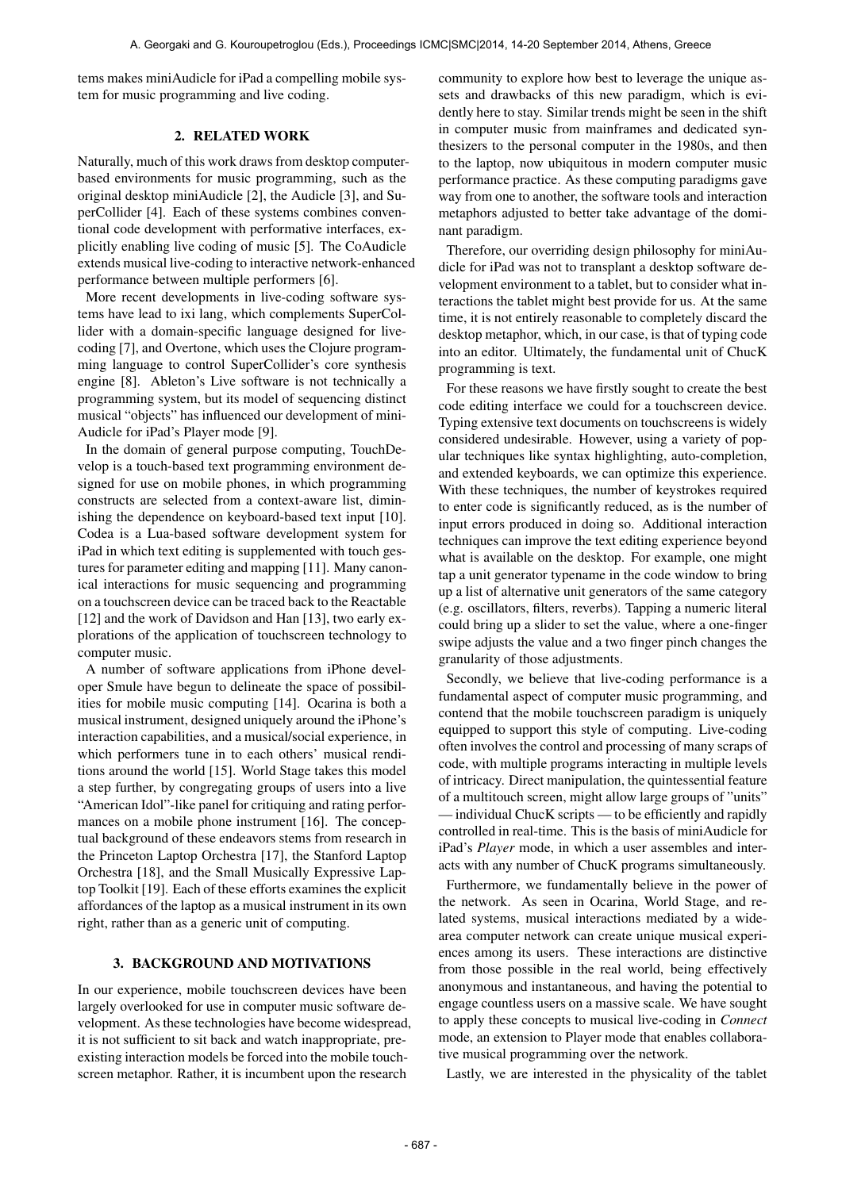tems makes miniAudicle for iPad a compelling mobile system for music programming and live coding.

## 2. RELATED WORK

Naturally, much of this work draws from desktop computerbased environments for music programming, such as the original desktop miniAudicle [2], the Audicle [3], and SuperCollider [4]. Each of these systems combines conventional code development with performative interfaces, explicitly enabling live coding of music [5]. The CoAudicle extends musical live-coding to interactive network-enhanced performance between multiple performers [6].

More recent developments in live-coding software systems have lead to ixi lang, which complements SuperCollider with a domain-specific language designed for livecoding [7], and Overtone, which uses the Clojure programming language to control SuperCollider's core synthesis engine [8]. Ableton's Live software is not technically a programming system, but its model of sequencing distinct musical "objects" has influenced our development of mini-Audicle for iPad's Player mode [9].

In the domain of general purpose computing, TouchDevelop is a touch-based text programming environment designed for use on mobile phones, in which programming constructs are selected from a context-aware list, diminishing the dependence on keyboard-based text input [10]. Codea is a Lua-based software development system for iPad in which text editing is supplemented with touch gestures for parameter editing and mapping [11]. Many canonical interactions for music sequencing and programming on a touchscreen device can be traced back to the Reactable [12] and the work of Davidson and Han [13], two early explorations of the application of touchscreen technology to computer music.

A number of software applications from iPhone developer Smule have begun to delineate the space of possibilities for mobile music computing [14]. Ocarina is both a musical instrument, designed uniquely around the iPhone's interaction capabilities, and a musical/social experience, in which performers tune in to each others' musical renditions around the world [15]. World Stage takes this model a step further, by congregating groups of users into a live "American Idol"-like panel for critiquing and rating performances on a mobile phone instrument [16]. The conceptual background of these endeavors stems from research in the Princeton Laptop Orchestra [17], the Stanford Laptop Orchestra [18], and the Small Musically Expressive Laptop Toolkit [19]. Each of these efforts examines the explicit affordances of the laptop as a musical instrument in its own right, rather than as a generic unit of computing.

#### 3. BACKGROUND AND MOTIVATIONS

In our experience, mobile touchscreen devices have been largely overlooked for use in computer music software development. As these technologies have become widespread, it is not sufficient to sit back and watch inappropriate, preexisting interaction models be forced into the mobile touchscreen metaphor. Rather, it is incumbent upon the research

community to explore how best to leverage the unique assets and drawbacks of this new paradigm, which is evidently here to stay. Similar trends might be seen in the shift in computer music from mainframes and dedicated synthesizers to the personal computer in the 1980s, and then to the laptop, now ubiquitous in modern computer music performance practice. As these computing paradigms gave way from one to another, the software tools and interaction metaphors adjusted to better take advantage of the dominant paradigm.

Therefore, our overriding design philosophy for miniAudicle for iPad was not to transplant a desktop software development environment to a tablet, but to consider what interactions the tablet might best provide for us. At the same time, it is not entirely reasonable to completely discard the desktop metaphor, which, in our case, is that of typing code into an editor. Ultimately, the fundamental unit of ChucK programming is text.

For these reasons we have firstly sought to create the best code editing interface we could for a touchscreen device. Typing extensive text documents on touchscreens is widely considered undesirable. However, using a variety of popular techniques like syntax highlighting, auto-completion, and extended keyboards, we can optimize this experience. With these techniques, the number of keystrokes required to enter code is significantly reduced, as is the number of input errors produced in doing so. Additional interaction techniques can improve the text editing experience beyond what is available on the desktop. For example, one might tap a unit generator typename in the code window to bring up a list of alternative unit generators of the same category (e.g. oscillators, filters, reverbs). Tapping a numeric literal could bring up a slider to set the value, where a one-finger swipe adjusts the value and a two finger pinch changes the granularity of those adjustments.

Secondly, we believe that live-coding performance is a fundamental aspect of computer music programming, and contend that the mobile touchscreen paradigm is uniquely equipped to support this style of computing. Live-coding often involves the control and processing of many scraps of code, with multiple programs interacting in multiple levels of intricacy. Direct manipulation, the quintessential feature of a multitouch screen, might allow large groups of "units" — individual ChucK scripts — to be efficiently and rapidly controlled in real-time. This is the basis of miniAudicle for iPad's *Player* mode, in which a user assembles and interacts with any number of ChucK programs simultaneously.

Furthermore, we fundamentally believe in the power of the network. As seen in Ocarina, World Stage, and related systems, musical interactions mediated by a widearea computer network can create unique musical experiences among its users. These interactions are distinctive from those possible in the real world, being effectively anonymous and instantaneous, and having the potential to engage countless users on a massive scale. We have sought to apply these concepts to musical live-coding in *Connect* mode, an extension to Player mode that enables collaborative musical programming over the network.

Lastly, we are interested in the physicality of the tablet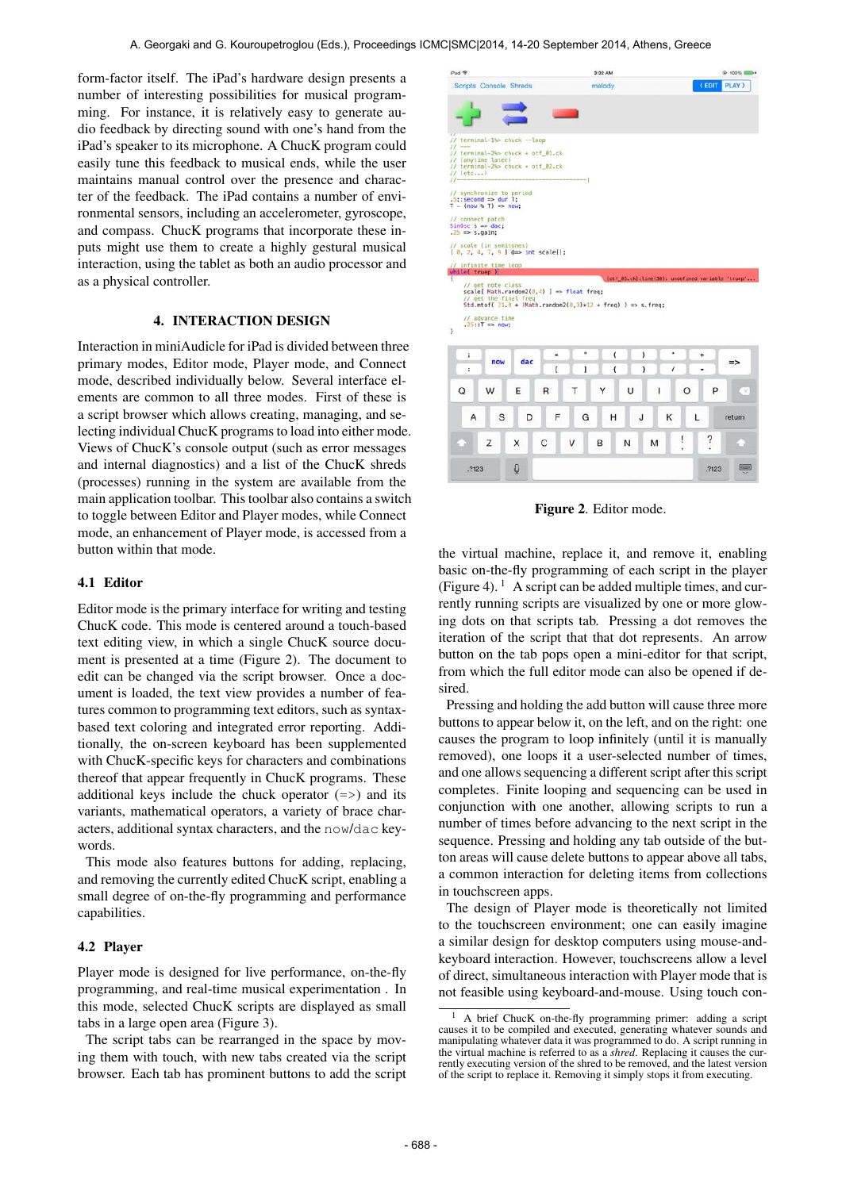form-factor itself. The iPad's hardware design presents a number of interesting possibilities for musical programming. For instance, it is relatively easy to generate audio feedback by directing sound with one's hand from the iPad's speaker to its microphone. A ChucK program could easily tune this feedback to musical ends, while the user maintains manual control over the presence and character of the feedback. The iPad contains a number of environmental sensors, including an accelerometer, gyroscope, and compass. ChucK programs that incorporate these inputs might use them to create a highly gestural musical interaction, using the tablet as both an audio processor and as a physical controller.

# 4. INTERACTION DESIGN

Interaction in miniAudicle for iPad is divided between three primary modes, Editor mode, Player mode, and Connect mode, described individually below. Several interface elements are common to all three modes. First of these is a script browser which allows creating, managing, and selecting individual ChucK programs to load into either mode. Views of ChucK's console output (such as error messages and internal diagnostics) and a list of the ChucK shreds (processes) running in the system are available from the main application toolbar. This toolbar also contains a switch to toggle between Editor and Player modes, while Connect mode, an enhancement of Player mode, is accessed from a button within that mode.

## 4.1 Editor

Editor mode is the primary interface for writing and testing ChucK code. This mode is centered around a touch-based text editing view, in which a single ChucK source document is presented at a time (Figure 2). The document to edit can be changed via the script browser. Once a document is loaded, the text view provides a number of features common to programming text editors, such as syntaxbased text coloring and integrated error reporting. Additionally, the on-screen keyboard has been supplemented with ChucK-specific keys for characters and combinations thereof that appear frequently in ChucK programs. These additional keys include the chuck operator  $(=>)$  and its variants, mathematical operators, a variety of brace characters, additional syntax characters, and the now/dac keywords.

This mode also features buttons for adding, replacing, and removing the currently edited ChucK script, enabling a small degree of on-the-fly programming and performance capabilities.

### 4.2 Player

Player mode is designed for live performance, on-the-fly programming, and real-time musical experimentation . In this mode, selected ChucK scripts are displayed as small tabs in a large open area (Figure 3).

The script tabs can be rearranged in the space by moving them with touch, with new tabs created via the script browser. Each tab has prominent buttons to add the script



Figure 2. Editor mode.

the virtual machine, replace it, and remove it, enabling basic on-the-fly programming of each script in the player (Figure 4).  $\frac{1}{1}$  A script can be added multiple times, and currently running scripts are visualized by one or more glowing dots on that scripts tab. Pressing a dot removes the iteration of the script that that dot represents. An arrow button on the tab pops open a mini-editor for that script, from which the full editor mode can also be opened if desired.

Pressing and holding the add button will cause three more buttons to appear below it, on the left, and on the right: one causes the program to loop infinitely (until it is manually removed), one loops it a user-selected number of times, and one allows sequencing a different script after this script completes. Finite looping and sequencing can be used in conjunction with one another, allowing scripts to run a number of times before advancing to the next script in the sequence. Pressing and holding any tab outside of the button areas will cause delete buttons to appear above all tabs, a common interaction for deleting items from collections in touchscreen apps.

The design of Player mode is theoretically not limited to the touchscreen environment; one can easily imagine a similar design for desktop computers using mouse-andkeyboard interaction. However, touchscreens allow a level of direct, simultaneous interaction with Player mode that is not feasible using keyboard-and-mouse. Using touch con-

<sup>1</sup> A brief ChucK on-the-fly programming primer: adding a script causes it to be compiled and executed, generating whatever sounds and manipulating whatever data it was programmed to do. A script running in the virtual machine is referred to as a *shred*. Replacing it causes the currently executing version of the shred to be removed, and the latest version of the script to replace it. Removing it simply stops it from executing.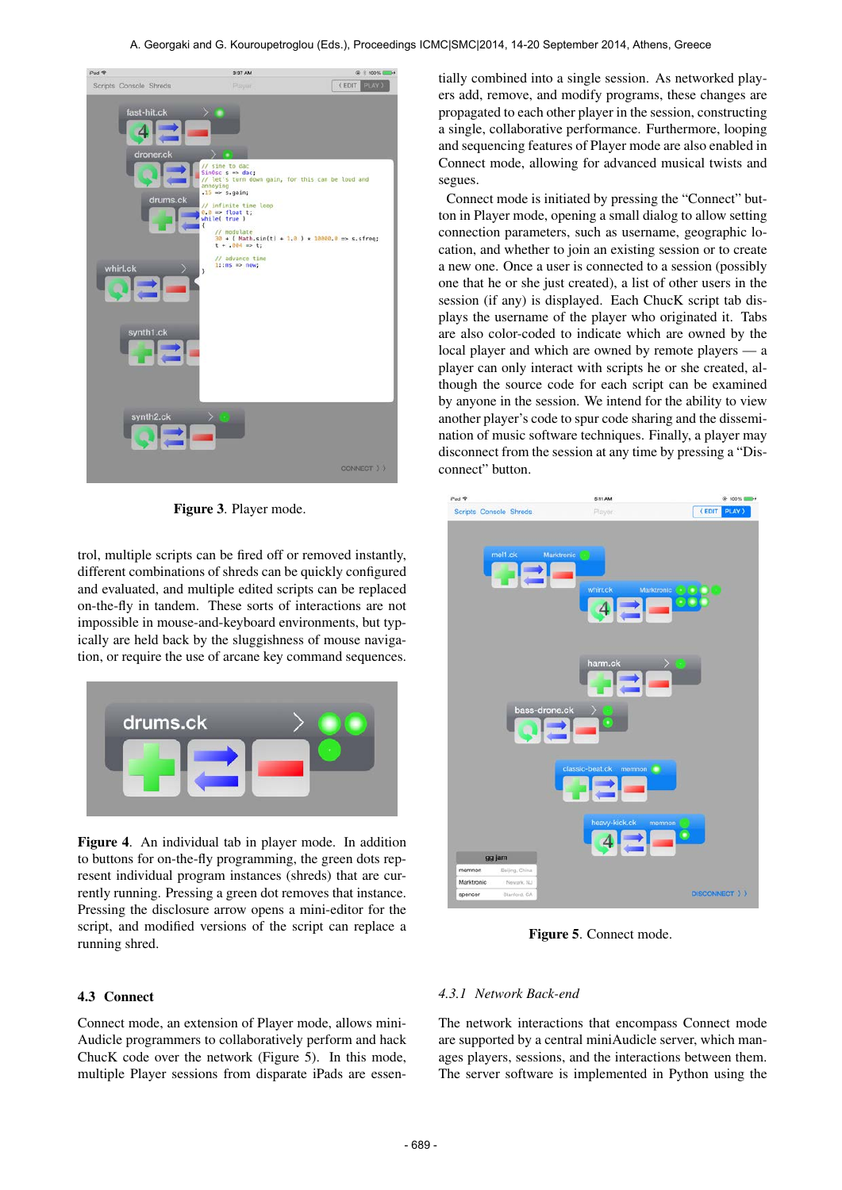

Figure 3. Player mode.

trol, multiple scripts can be fired off or removed instantly, different combinations of shreds can be quickly configured and evaluated, and multiple edited scripts can be replaced on-the-fly in tandem. These sorts of interactions are not impossible in mouse-and-keyboard environments, but typically are held back by the sluggishness of mouse navigation, or require the use of arcane key command sequences.



Figure 4. An individual tab in player mode. In addition to buttons for on-the-fly programming, the green dots represent individual program instances (shreds) that are currently running. Pressing a green dot removes that instance. Pressing the disclosure arrow opens a mini-editor for the script, and modified versions of the script can replace a running shred.

# 4.3 Connect

Connect mode, an extension of Player mode, allows mini-Audicle programmers to collaboratively perform and hack ChucK code over the network (Figure 5). In this mode, multiple Player sessions from disparate iPads are essentially combined into a single session. As networked players add, remove, and modify programs, these changes are propagated to each other player in the session, constructing a single, collaborative performance. Furthermore, looping and sequencing features of Player mode are also enabled in Connect mode, allowing for advanced musical twists and segues.

Connect mode is initiated by pressing the "Connect" button in Player mode, opening a small dialog to allow setting connection parameters, such as username, geographic location, and whether to join an existing session or to create a new one. Once a user is connected to a session (possibly one that he or she just created), a list of other users in the session (if any) is displayed. Each ChucK script tab displays the username of the player who originated it. Tabs are also color-coded to indicate which are owned by the local player and which are owned by remote players — a player can only interact with scripts he or she created, although the source code for each script can be examined by anyone in the session. We intend for the ability to view another player's code to spur code sharing and the dissemination of music software techniques. Finally, a player may disconnect from the session at any time by pressing a "Disconnect" button.



Figure 5. Connect mode.

#### *4.3.1 Network Back-end*

The network interactions that encompass Connect mode are supported by a central miniAudicle server, which manages players, sessions, and the interactions between them. The server software is implemented in Python using the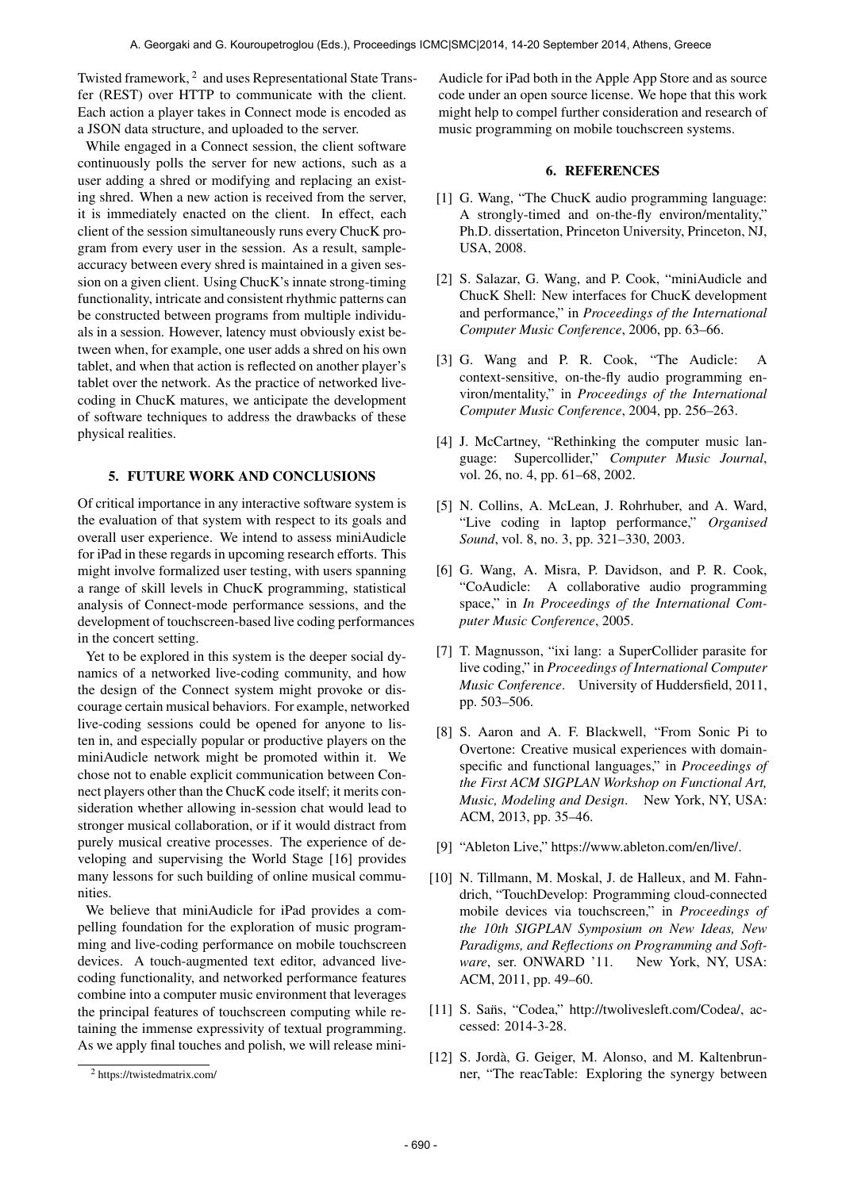Twisted framework, <sup>2</sup> and uses Representational State Transfer (REST) over HTTP to communicate with the client. Each action a player takes in Connect mode is encoded as a JSON data structure, and uploaded to the server.

While engaged in a Connect session, the client software continuously polls the server for new actions, such as a user adding a shred or modifying and replacing an existing shred. When a new action is received from the server, it is immediately enacted on the client. In effect, each client of the session simultaneously runs every ChucK program from every user in the session. As a result, sampleaccuracy between every shred is maintained in a given session on a given client. Using ChucK's innate strong-timing functionality, intricate and consistent rhythmic patterns can be constructed between programs from multiple individuals in a session. However, latency must obviously exist between when, for example, one user adds a shred on his own tablet, and when that action is reflected on another player's tablet over the network. As the practice of networked livecoding in ChucK matures, we anticipate the development of software techniques to address the drawbacks of these physical realities.

# 5. FUTURE WORK AND CONCLUSIONS

Of critical importance in any interactive software system is the evaluation of that system with respect to its goals and overall user experience. We intend to assess miniAudicle for iPad in these regards in upcoming research efforts. This might involve formalized user testing, with users spanning a range of skill levels in ChucK programming, statistical analysis of Connect-mode performance sessions, and the development of touchscreen-based live coding performances in the concert setting.

Yet to be explored in this system is the deeper social dynamics of a networked live-coding community, and how the design of the Connect system might provoke or discourage certain musical behaviors. For example, networked live-coding sessions could be opened for anyone to listen in, and especially popular or productive players on the miniAudicle network might be promoted within it. We chose not to enable explicit communication between Connect players other than the ChucK code itself; it merits consideration whether allowing in-session chat would lead to stronger musical collaboration, or if it would distract from purely musical creative processes. The experience of developing and supervising the World Stage [16] provides many lessons for such building of online musical communities.

We believe that miniAudicle for iPad provides a compelling foundation for the exploration of music programming and live-coding performance on mobile touchscreen devices. A touch-augmented text editor, advanced livecoding functionality, and networked performance features combine into a computer music environment that leverages the principal features of touchscreen computing while retaining the immense expressivity of textual programming. As we apply final touches and polish, we will release miniAudicle for iPad both in the Apple App Store and as source code under an open source license. We hope that this work might help to compel further consideration and research of music programming on mobile touchscreen systems.

### 6. REFERENCES

- [1] G. Wang, "The ChucK audio programming language: A strongly-timed and on-the-fly environ/mentality," Ph.D. dissertation, Princeton University, Princeton, NJ, USA, 2008.
- [2] S. Salazar, G. Wang, and P. Cook, "miniAudicle and ChucK Shell: New interfaces for ChucK development and performance," in *Proceedings of the International Computer Music Conference*, 2006, pp. 63–66.
- [3] G. Wang and P. R. Cook, "The Audicle: A context-sensitive, on-the-fly audio programming environ/mentality," in *Proceedings of the International Computer Music Conference*, 2004, pp. 256–263.
- [4] J. McCartney, "Rethinking the computer music language: Supercollider," *Computer Music Journal*, vol. 26, no. 4, pp. 61–68, 2002.
- [5] N. Collins, A. McLean, J. Rohrhuber, and A. Ward, "Live coding in laptop performance," *Organised Sound*, vol. 8, no. 3, pp. 321–330, 2003.
- [6] G. Wang, A. Misra, P. Davidson, and P. R. Cook, "CoAudicle: A collaborative audio programming space," in *In Proceedings of the International Computer Music Conference*, 2005.
- [7] T. Magnusson, "ixi lang: a SuperCollider parasite for live coding," in *Proceedings of International Computer Music Conference*. University of Huddersfield, 2011, pp. 503–506.
- [8] S. Aaron and A. F. Blackwell, "From Sonic Pi to Overtone: Creative musical experiences with domainspecific and functional languages," in *Proceedings of the First ACM SIGPLAN Workshop on Functional Art, Music, Modeling and Design*. New York, NY, USA: ACM, 2013, pp. 35–46.
- [9] "Ableton Live," [https://www.ableton.com/en/live/.](https://www.ableton.com/en/live/)
- [10] N. Tillmann, M. Moskal, J. de Halleux, and M. Fahndrich, "TouchDevelop: Programming cloud-connected mobile devices via touchscreen," in *Proceedings of the 10th SIGPLAN Symposium on New Ideas, New Paradigms, and Reflections on Programming and Software*, ser. ONWARD '11. New York, NY, USA: ACM, 2011, pp. 49–60.
- [11] S. Sans, "Codea," [http://twolivesleft.com/Codea/,](http://twolivesleft.com/Codea/) accessed: 2014-3-28.
- [12] S. Jordà, G. Geiger, M. Alonso, and M. Kaltenbrunner, "The reacTable: Exploring the synergy between

<sup>2</sup> https://twistedmatrix.com/